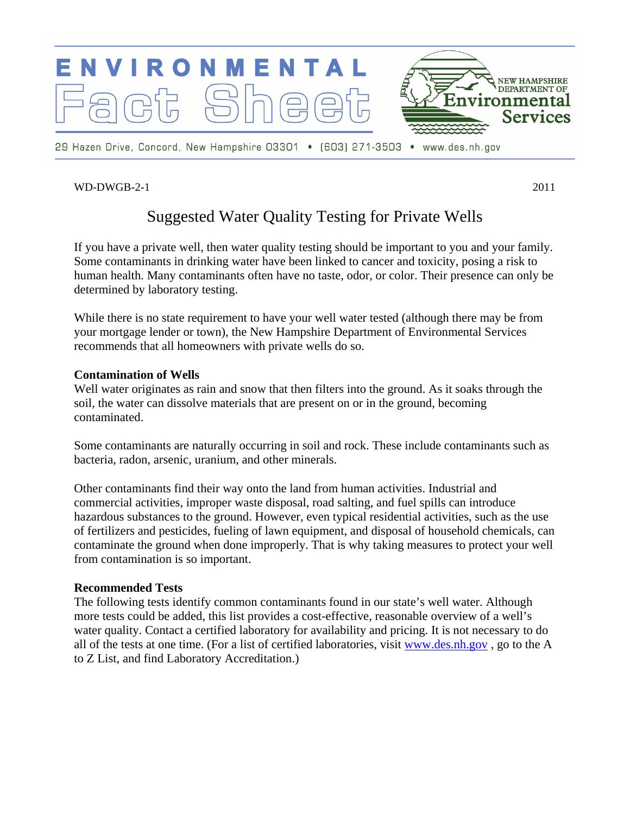

# WD-DWGB-2-1 2011

# Suggested Water Quality Testing for Private Wells

If you have a private well, then water quality testing should be important to you and your family. Some contaminants in drinking water have been linked to cancer and toxicity, posing a risk to human health. Many contaminants often have no taste, odor, or color. Their presence can only be determined by laboratory testing.

While there is no state requirement to have your well water tested (although there may be from your mortgage lender or town), the New Hampshire Department of Environmental Services recommends that all homeowners with private wells do so.

## **Contamination of Wells**

Well water originates as rain and snow that then filters into the ground. As it soaks through the soil, the water can dissolve materials that are present on or in the ground, becoming contaminated.

Some contaminants are naturally occurring in soil and rock. These include contaminants such as bacteria, radon, arsenic, uranium, and other minerals.

Other contaminants find their way onto the land from human activities. Industrial and commercial activities, improper waste disposal, road salting, and fuel spills can introduce hazardous substances to the ground. However, even typical residential activities, such as the use of fertilizers and pesticides, fueling of lawn equipment, and disposal of household chemicals, can contaminate the ground when done improperly. That is why taking measures to protect your well from contamination is so important.

## **Recommended Tests**

The following tests identify common contaminants found in our state's well water. Although more tests could be added, this list provides a cost-effective, reasonable overview of a well's water quality. Contact a certified laboratory for availability and pricing. It is not necessary to do all of the tests at one time. (For a list of certified laboratories, visit [www.des.nh.gov](http://www.des.nh.gov/) , go to the A to Z List, and find Laboratory Accreditation.)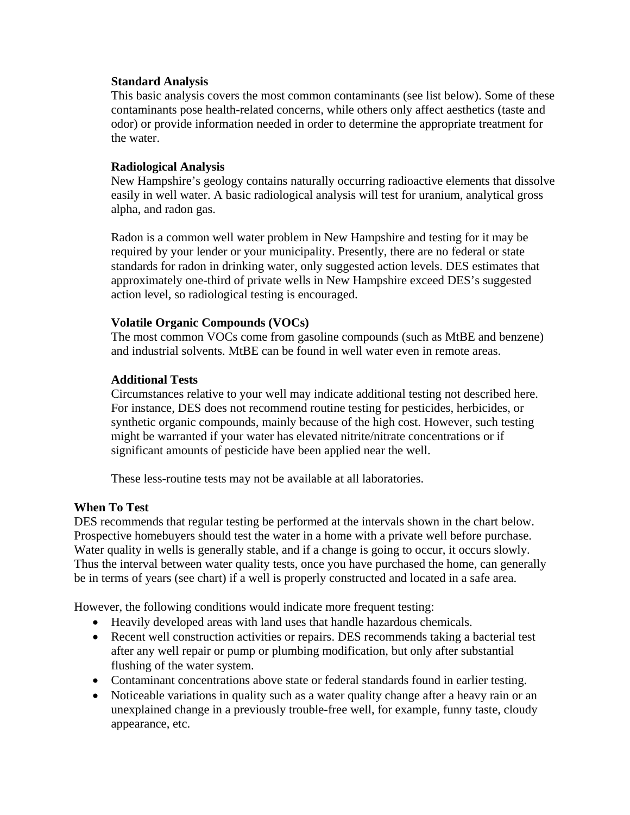## **Standard Analysis**

This basic analysis covers the most common contaminants (see list below). Some of these contaminants pose health-related concerns, while others only affect aesthetics (taste and odor) or provide information needed in order to determine the appropriate treatment for the water.

# **Radiological Analysis**

New Hampshire's geology contains naturally occurring radioactive elements that dissolve easily in well water. A basic radiological analysis will test for uranium, analytical gross alpha, and radon gas.

Radon is a common well water problem in New Hampshire and testing for it may be required by your lender or your municipality. Presently, there are no federal or state standards for radon in drinking water, only suggested action levels. DES estimates that approximately one-third of private wells in New Hampshire exceed DES's suggested action level, so radiological testing is encouraged.

## **Volatile Organic Compounds (VOCs)**

The most common VOCs come from gasoline compounds (such as MtBE and benzene) and industrial solvents. MtBE can be found in well water even in remote areas.

# **Additional Tests**

Circumstances relative to your well may indicate additional testing not described here. For instance, DES does not recommend routine testing for pesticides, herbicides, or synthetic organic compounds, mainly because of the high cost. However, such testing might be warranted if your water has elevated nitrite/nitrate concentrations or if significant amounts of pesticide have been applied near the well.

These less-routine tests may not be available at all laboratories.

## **When To Test**

DES recommends that regular testing be performed at the intervals shown in the chart below. Prospective homebuyers should test the water in a home with a private well before purchase. Water quality in wells is generally stable, and if a change is going to occur, it occurs slowly. Thus the interval between water quality tests, once you have purchased the home, can generally be in terms of years (see chart) if a well is properly constructed and located in a safe area.

However, the following conditions would indicate more frequent testing:

- Heavily developed areas with land uses that handle hazardous chemicals.
- Recent well construction activities or repairs. DES recommends taking a bacterial test after any well repair or pump or plumbing modification, but only after substantial flushing of the water system.
- Contaminant concentrations above state or federal standards found in earlier testing.
- Noticeable variations in quality such as a water quality change after a heavy rain or an unexplained change in a previously trouble-free well, for example, funny taste, cloudy appearance, etc.